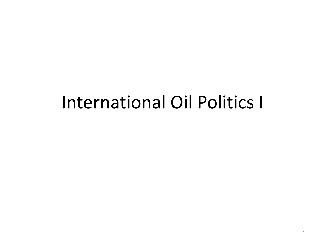# International Oil Politics I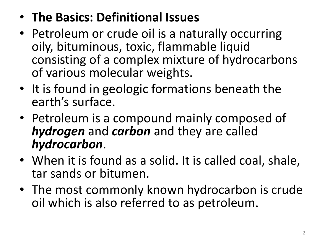#### • **The Basics: Definitional Issues**

- Petroleum or crude oil is a naturally occurring oily, bituminous, toxic, flammable liquid consisting of a complex mixture of hydrocarbons of various molecular weights.
- It is found in geologic formations beneath the earth's surface.
- Petroleum is a compound mainly composed of *hydrogen* and *carbon* and they are called *hydrocarbon*.
- When it is found as a solid. It is called coal, shale, tar sands or bitumen.
- The most commonly known hydrocarbon is crude oil which is also referred to as petroleum.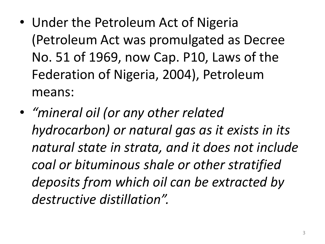- Under the Petroleum Act of Nigeria (Petroleum Act was promulgated as Decree No. 51 of 1969, now Cap. P10, Laws of the Federation of Nigeria, 2004), Petroleum means:
- *"mineral oil (or any other related hydrocarbon) or natural gas as it exists in its natural state in strata, and it does not include coal or bituminous shale or other stratified deposits from which oil can be extracted by destructive distillation".*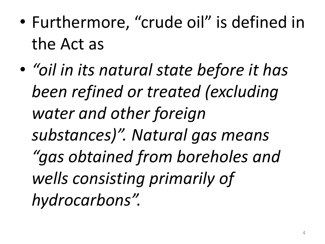- Furthermore, "crude oil" is defined in the Act as
- *"oil in its natural state before it has been refined or treated (excluding water and other foreign substances)". Natural gas means "gas obtained from boreholes and wells consisting primarily of hydrocarbons".*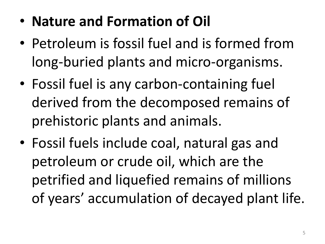- **Nature and Formation of Oil**
- Petroleum is fossil fuel and is formed from long-buried plants and micro-organisms.
- Fossil fuel is any carbon-containing fuel derived from the decomposed remains of prehistoric plants and animals.
- Fossil fuels include coal, natural gas and petroleum or crude oil, which are the petrified and liquefied remains of millions of years' accumulation of decayed plant life.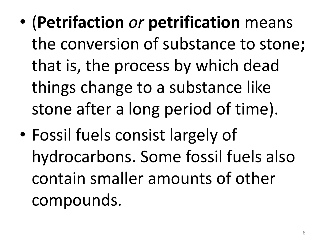- (**Petrifaction** *or* **petrification** means the conversion of substance to stone**;**  that is, the process by which dead things change to a substance like stone after a long period of time).
- Fossil fuels consist largely of hydrocarbons. Some fossil fuels also contain smaller amounts of other compounds.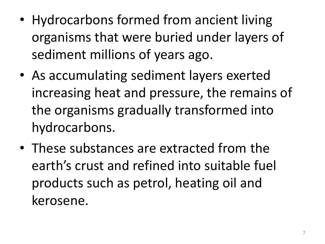- Hydrocarbons formed from ancient living organisms that were buried under layers of sediment millions of years ago.
- As accumulating sediment layers exerted increasing heat and pressure, the remains of the organisms gradually transformed into hydrocarbons.
- These substances are extracted from the earth's crust and refined into suitable fuel products such as petrol, heating oil and kerosene.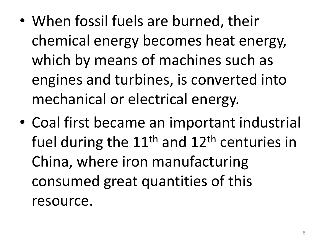- When fossil fuels are burned, their chemical energy becomes heat energy, which by means of machines such as engines and turbines, is converted into mechanical or electrical energy.
- Coal first became an important industrial fuel during the  $11<sup>th</sup>$  and  $12<sup>th</sup>$  centuries in China, where iron manufacturing consumed great quantities of this resource.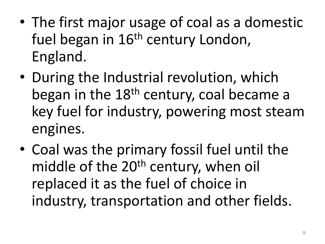- The first major usage of coal as a domestic fuel began in 16<sup>th</sup> century London, England.
- During the Industrial revolution, which began in the 18<sup>th</sup> century, coal became a key fuel for industry, powering most steam engines.
- Coal was the primary fossil fuel until the middle of the 20<sup>th</sup> century, when oil replaced it as the fuel of choice in industry, transportation and other fields.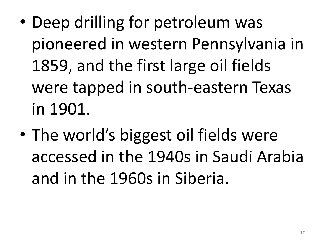- Deep drilling for petroleum was pioneered in western Pennsylvania in 1859, and the first large oil fields were tapped in south-eastern Texas in 1901.
- The world's biggest oil fields were accessed in the 1940s in Saudi Arabia and in the 1960s in Siberia.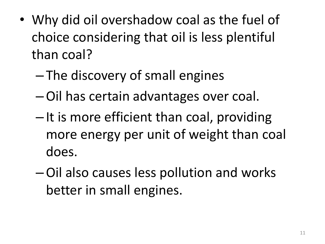- Why did oil overshadow coal as the fuel of choice considering that oil is less plentiful than coal?
	- The discovery of small engines
	- –Oil has certain advantages over coal.
	- It is more efficient than coal, providing more energy per unit of weight than coal does.
	- –Oil also causes less pollution and works better in small engines.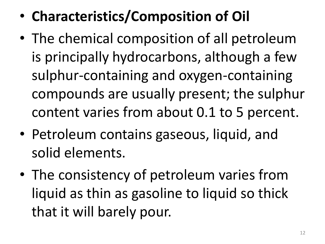- **Characteristics/Composition of Oil**
- The chemical composition of all petroleum is principally hydrocarbons, although a few sulphur-containing and oxygen-containing compounds are usually present; the sulphur content varies from about 0.1 to 5 percent.
- Petroleum contains gaseous, liquid, and solid elements.
- The consistency of petroleum varies from liquid as thin as gasoline to liquid so thick that it will barely pour.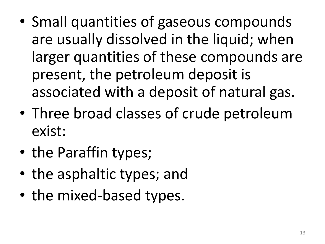- Small quantities of gaseous compounds are usually dissolved in the liquid; when larger quantities of these compounds are present, the petroleum deposit is associated with a deposit of natural gas.
- Three broad classes of crude petroleum exist:
- the Paraffin types;
- the asphaltic types; and
- the mixed-based types.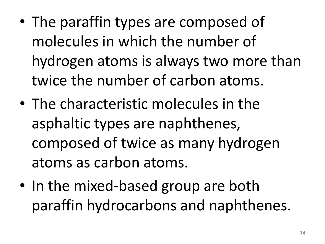- The paraffin types are composed of molecules in which the number of hydrogen atoms is always two more than twice the number of carbon atoms.
- The characteristic molecules in the asphaltic types are naphthenes, composed of twice as many hydrogen atoms as carbon atoms.
- In the mixed-based group are both paraffin hydrocarbons and naphthenes.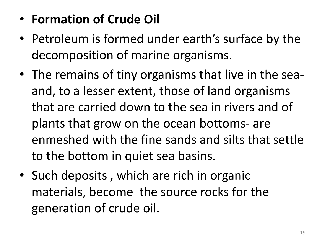#### • **Formation of Crude Oil**

- Petroleum is formed under earth's surface by the decomposition of marine organisms.
- The remains of tiny organisms that live in the seaand, to a lesser extent, those of land organisms that are carried down to the sea in rivers and of plants that grow on the ocean bottoms- are enmeshed with the fine sands and silts that settle to the bottom in quiet sea basins.
- Such deposits , which are rich in organic materials, become the source rocks for the generation of crude oil.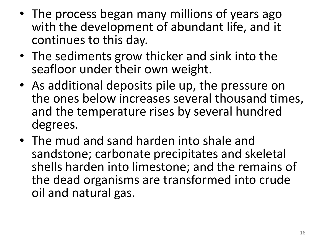- The process began many millions of years ago with the development of abundant life, and it continues to this day.
- The sediments grow thicker and sink into the seafloor under their own weight.
- As additional deposits pile up, the pressure on the ones below increases several thousand times, and the temperature rises by several hundred degrees.
- The mud and sand harden into shale and sandstone; carbonate precipitates and skeletal shells harden into limestone; and the remains of the dead organisms are transformed into crude oil and natural gas.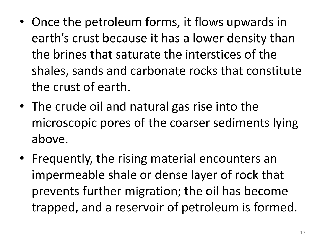- Once the petroleum forms, it flows upwards in earth's crust because it has a lower density than the brines that saturate the interstices of the shales, sands and carbonate rocks that constitute the crust of earth.
- The crude oil and natural gas rise into the microscopic pores of the coarser sediments lying above.
- Frequently, the rising material encounters an impermeable shale or dense layer of rock that prevents further migration; the oil has become trapped, and a reservoir of petroleum is formed.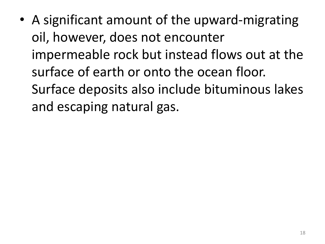• A significant amount of the upward-migrating oil, however, does not encounter impermeable rock but instead flows out at the surface of earth or onto the ocean floor. Surface deposits also include bituminous lakes and escaping natural gas.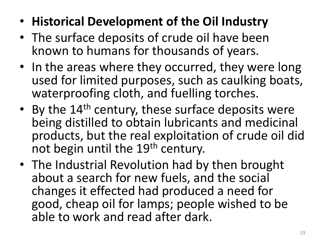- **Historical Development of the Oil Industry**
- The surface deposits of crude oil have been known to humans for thousands of years.
- In the areas where they occurred, they were long used for limited purposes, such as caulking boats, waterproofing cloth, and fuelling torches.
- By the 14<sup>th</sup> century, these surface deposits were being distilled to obtain lubricants and medicinal products, but the real exploitation of crude oil did not begin until the 19<sup>th</sup> century.
- The Industrial Revolution had by then brought about a search for new fuels, and the social changes it effected had produced a need for good, cheap oil for lamps; people wished to be able to work and read after dark.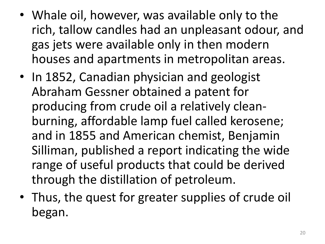- Whale oil, however, was available only to the rich, tallow candles had an unpleasant odour, and gas jets were available only in then modern houses and apartments in metropolitan areas.
- In 1852, Canadian physician and geologist Abraham Gessner obtained a patent for producing from crude oil a relatively cleanburning, affordable lamp fuel called kerosene; and in 1855 and American chemist, Benjamin Silliman, published a report indicating the wide range of useful products that could be derived through the distillation of petroleum.
- Thus, the quest for greater supplies of crude oil began.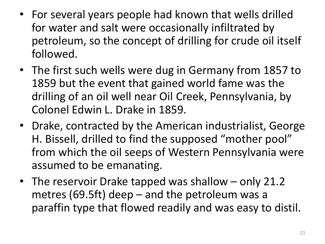- For several years people had known that wells drilled for water and salt were occasionally infiltrated by petroleum, so the concept of drilling for crude oil itself followed.
- The first such wells were dug in Germany from 1857 to 1859 but the event that gained world fame was the drilling of an oil well near Oil Creek, Pennsylvania, by Colonel Edwin L. Drake in 1859.
- Drake, contracted by the American industrialist, George H. Bissell, drilled to find the supposed "mother pool" from which the oil seeps of Western Pennsylvania were assumed to be emanating.
- The reservoir Drake tapped was shallow only 21.2 metres (69.5ft) deep – and the petroleum was a paraffin type that flowed readily and was easy to distil.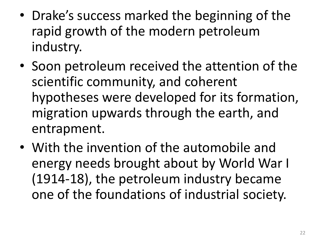- Drake's success marked the beginning of the rapid growth of the modern petroleum industry.
- Soon petroleum received the attention of the scientific community, and coherent hypotheses were developed for its formation, migration upwards through the earth, and entrapment.
- With the invention of the automobile and energy needs brought about by World War I (1914-18), the petroleum industry became one of the foundations of industrial society.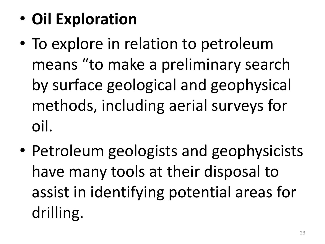- **Oil Exploration**
- To explore in relation to petroleum means "to make a preliminary search by surface geological and geophysical methods, including aerial surveys for oil.
- Petroleum geologists and geophysicists have many tools at their disposal to assist in identifying potential areas for drilling.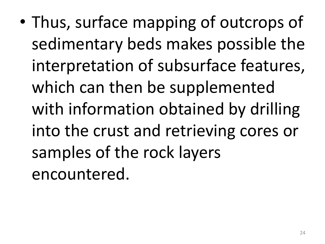• Thus, surface mapping of outcrops of sedimentary beds makes possible the interpretation of subsurface features, which can then be supplemented with information obtained by drilling into the crust and retrieving cores or samples of the rock layers encountered.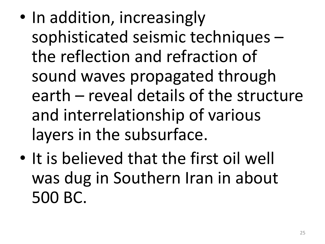- In addition, increasingly sophisticated seismic techniques – the reflection and refraction of sound waves propagated through earth – reveal details of the structure and interrelationship of various layers in the subsurface.
- It is believed that the first oil well was dug in Southern Iran in about 500 BC.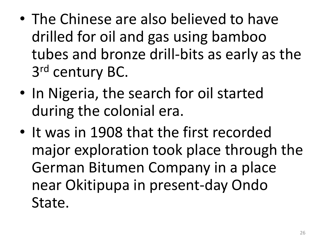- The Chinese are also believed to have drilled for oil and gas using bamboo tubes and bronze drill-bits as early as the 3rd century BC.
- In Nigeria, the search for oil started during the colonial era.
- It was in 1908 that the first recorded major exploration took place through the German Bitumen Company in a place near Okitipupa in present-day Ondo State.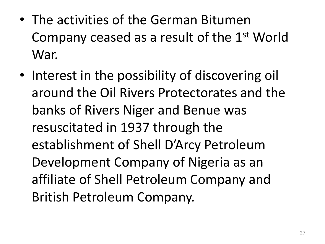- The activities of the German Bitumen Company ceased as a result of the 1st World War.
- Interest in the possibility of discovering oil around the Oil Rivers Protectorates and the banks of Rivers Niger and Benue was resuscitated in 1937 through the establishment of Shell D'Arcy Petroleum Development Company of Nigeria as an affiliate of Shell Petroleum Company and British Petroleum Company.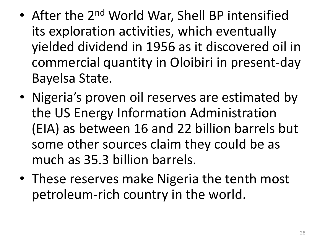- After the 2<sup>nd</sup> World War, Shell BP intensified its exploration activities, which eventually yielded dividend in 1956 as it discovered oil in commercial quantity in Oloibiri in present-day Bayelsa State.
- Nigeria's proven oil reserves are estimated by the US Energy Information Administration (EIA) as between 16 and 22 billion barrels but some other sources claim they could be as much as 35.3 billion barrels.
- These reserves make Nigeria the tenth most petroleum-rich country in the world.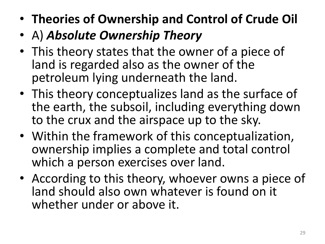- **Theories of Ownership and Control of Crude Oil**
- A) *Absolute Ownership Theory*
- This theory states that the owner of a piece of land is regarded also as the owner of the petroleum lying underneath the land.
- This theory conceptualizes land as the surface of the earth, the subsoil, including everything down to the crux and the airspace up to the sky.
- Within the framework of this conceptualization, ownership implies a complete and total control which a person exercises over land.
- According to this theory, whoever owns a piece of land should also own whatever is found on it whether under or above it.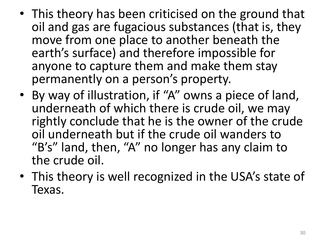- This theory has been criticised on the ground that oil and gas are fugacious substances (that is, they move from one place to another beneath the earth's surface) and therefore impossible for anyone to capture them and make them stay permanently on a person's property.
- By way of illustration, if "A" owns a piece of land, underneath of which there is crude oil, we may rightly conclude that he is the owner of the crude oil underneath but if the crude oil wanders to "B's" land, then, "A" no longer has any claim to the crude oil.
- This theory is well recognized in the USA's state of Texas.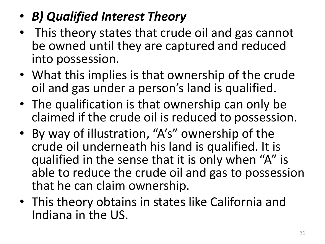#### • *B) Qualified Interest Theory*

- This theory states that crude oil and gas cannot be owned until they are captured and reduced into possession.
- What this implies is that ownership of the crude oil and gas under a person's land is qualified.
- The qualification is that ownership can only be claimed if the crude oil is reduced to possession.
- By way of illustration, "A's" ownership of the crude oil underneath his land is qualified. It is qualified in the sense that it is only when "A" is able to reduce the crude oil and gas to possession that he can claim ownership.
- This theory obtains in states like California and Indiana in the US.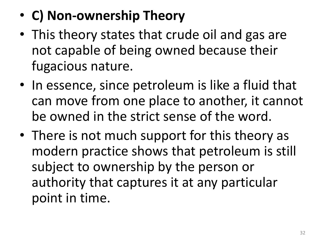- **C) Non-ownership Theory**
- This theory states that crude oil and gas are not capable of being owned because their fugacious nature.
- In essence, since petroleum is like a fluid that can move from one place to another, it cannot be owned in the strict sense of the word.
- There is not much support for this theory as modern practice shows that petroleum is still subject to ownership by the person or authority that captures it at any particular point in time.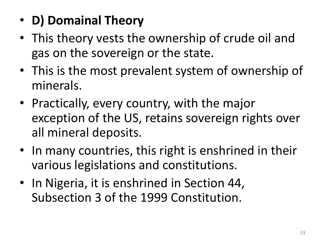- **D) Domainal Theory**
- This theory vests the ownership of crude oil and gas on the sovereign or the state.
- This is the most prevalent system of ownership of minerals.
- Practically, every country, with the major exception of the US, retains sovereign rights over all mineral deposits.
- In many countries, this right is enshrined in their various legislations and constitutions.
- In Nigeria, it is enshrined in Section 44, Subsection 3 of the 1999 Constitution.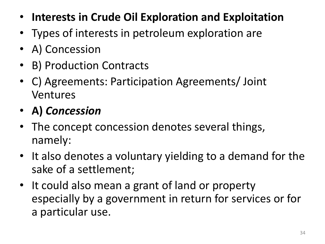- **Interests in Crude Oil Exploration and Exploitation**
- Types of interests in petroleum exploration are
- A) Concession
- B) Production Contracts
- C) Agreements: Participation Agreements/ Joint Ventures
- **A)** *Concession*
- The concept concession denotes several things, namely:
- It also denotes a voluntary yielding to a demand for the sake of a settlement;
- It could also mean a grant of land or property especially by a government in return for services or for a particular use.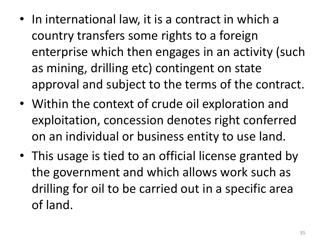- In international law, it is a contract in which a country transfers some rights to a foreign enterprise which then engages in an activity (such as mining, drilling etc) contingent on state approval and subject to the terms of the contract.
- Within the context of crude oil exploration and exploitation, concession denotes right conferred on an individual or business entity to use land.
- This usage is tied to an official license granted by the government and which allows work such as drilling for oil to be carried out in a specific area of land.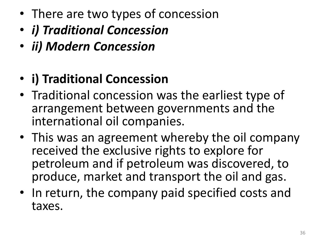- There are two types of concession
- *i) Traditional Concession*
- *ii) Modern Concession*

### • **i) Traditional Concession**

- Traditional concession was the earliest type of arrangement between governments and the international oil companies.
- This was an agreement whereby the oil company received the exclusive rights to explore for petroleum and if petroleum was discovered, to produce, market and transport the oil and gas.
- In return, the company paid specified costs and taxes.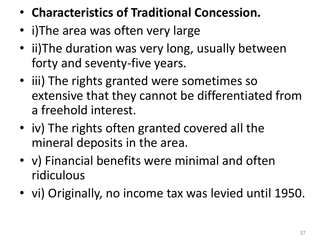- **Characteristics of Traditional Concession.**
- i) The area was often very large
- ii) The duration was very long, usually between forty and seventy-five years.
- iii) The rights granted were sometimes so extensive that they cannot be differentiated from a freehold interest.
- iv) The rights often granted covered all the mineral deposits in the area.
- v) Financial benefits were minimal and often ridiculous
- vi) Originally, no income tax was levied until 1950.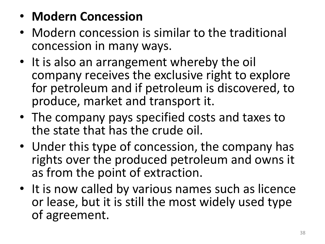- **Modern Concession**
- Modern concession is similar to the traditional concession in many ways.
- It is also an arrangement whereby the oil company receives the exclusive right to explore for petroleum and if petroleum is discovered, to produce, market and transport it.
- The company pays specified costs and taxes to the state that has the crude oil.
- Under this type of concession, the company has rights over the produced petroleum and owns it as from the point of extraction.
- It is now called by various names such as licence or lease, but it is still the most widely used type of agreement.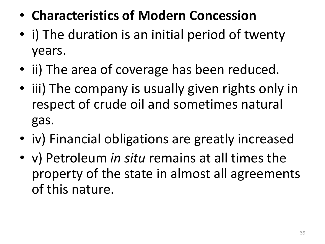- **Characteristics of Modern Concession**
- i) The duration is an initial period of twenty years.
- ii) The area of coverage has been reduced.
- iii) The company is usually given rights only in respect of crude oil and sometimes natural gas.
- iv) Financial obligations are greatly increased
- v) Petroleum *in situ* remains at all times the property of the state in almost all agreements of this nature.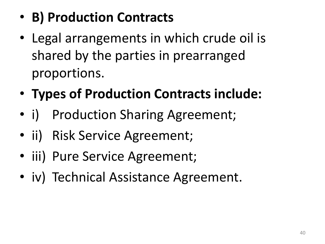## • **B) Production Contracts**

- Legal arrangements in which crude oil is shared by the parties in prearranged proportions.
- **Types of Production Contracts include:**
- i) Production Sharing Agreement;
- ii) Risk Service Agreement;
- iii) Pure Service Agreement;
- iv) Technical Assistance Agreement.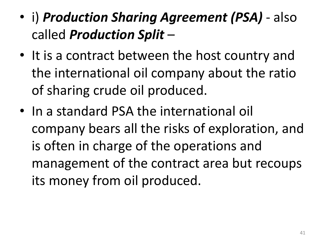- i) *Production Sharing Agreement (PSA)* also called *Production Split* –
- It is a contract between the host country and the international oil company about the ratio of sharing crude oil produced.
- In a standard PSA the international oil company bears all the risks of exploration, and is often in charge of the operations and management of the contract area but recoups its money from oil produced.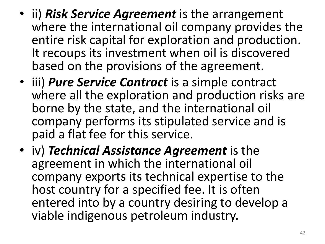- ii) *Risk Service Agreement* is the arrangement where the international oil company provides the entire risk capital for exploration and production. It recoups its investment when oil is discovered based on the provisions of the agreement.
- iii) *Pure Service Contract* is a simple contract where all the exploration and production risks are borne by the state, and the international oil company performs its stipulated service and is paid a flat fee for this service.
- iv) *Technical Assistance Agreement* is the agreement in which the international oil company exports its technical expertise to the host country for a specified fee. It is often entered into by a country desiring to develop a viable indigenous petroleum industry.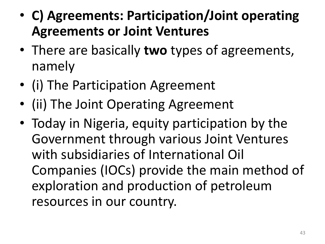- **C) Agreements: Participation/Joint operating Agreements or Joint Ventures**
- There are basically **two** types of agreements, namely
- (i) The Participation Agreement
- (ii) The Joint Operating Agreement
- Today in Nigeria, equity participation by the Government through various Joint Ventures with subsidiaries of International Oil Companies (IOCs) provide the main method of exploration and production of petroleum resources in our country.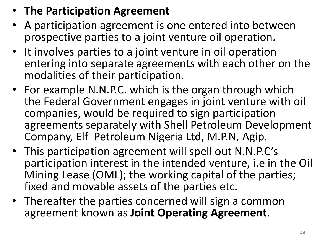#### • **The Participation Agreement**

- A participation agreement is one entered into between prospective parties to a joint venture oil operation.
- It involves parties to a joint venture in oil operation entering into separate agreements with each other on the modalities of their participation.
- For example N.N.P.C. which is the organ through which the Federal Government engages in joint venture with oil companies, would be required to sign participation agreements separately with Shell Petroleum Development Company, Elf Petroleum Nigeria Ltd, M.P.N, Agip.
- This participation agreement will spell out N.N.P.C's participation interest in the intended venture, i.e in the Oil Mining Lease (OML); the working capital of the parties; fixed and movable assets of the parties etc.
- Thereafter the parties concerned will sign a common agreement known as **Joint Operating Agreement**.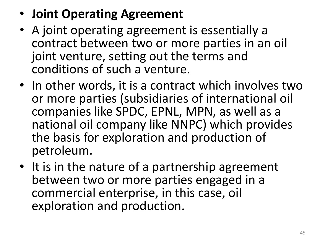- **Joint Operating Agreement**
- A joint operating agreement is essentially a contract between two or more parties in an oil joint venture, setting out the terms and conditions of such a venture.
- In other words, it is a contract which involves two or more parties (subsidiaries of international oil companies like SPDC, EPNL, MPN, as well as a national oil company like NNPC) which provides the basis for exploration and production of petroleum.
- It is in the nature of a partnership agreement between two or more parties engaged in a commercial enterprise, in this case, oil exploration and production.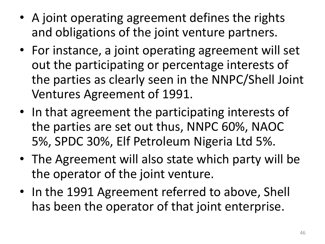- A joint operating agreement defines the rights and obligations of the joint venture partners.
- For instance, a joint operating agreement will set out the participating or percentage interests of the parties as clearly seen in the NNPC/Shell Joint Ventures Agreement of 1991.
- In that agreement the participating interests of the parties are set out thus, NNPC 60%, NAOC 5%, SPDC 30%, Elf Petroleum Nigeria Ltd 5%.
- The Agreement will also state which party will be the operator of the joint venture.
- In the 1991 Agreement referred to above, Shell has been the operator of that joint enterprise.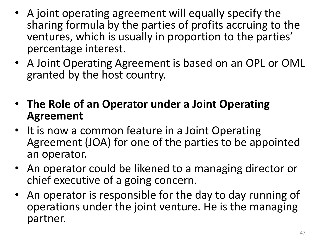- A joint operating agreement will equally specify the sharing formula by the parties of profits accruing to the ventures, which is usually in proportion to the parties' percentage interest.
- A Joint Operating Agreement is based on an OPL or OML granted by the host country.
- **The Role of an Operator under a Joint Operating Agreement**
- It is now a common feature in a Joint Operating Agreement (JOA) for one of the parties to be appointed an operator.
- An operator could be likened to a managing director or chief executive of a going concern.
- An operator is responsible for the day to day running of operations under the joint venture. He is the managing partner.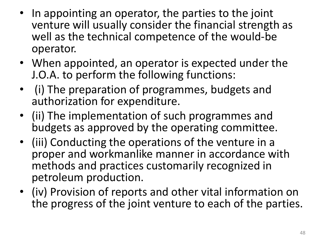- In appointing an operator, the parties to the joint venture will usually consider the financial strength as well as the technical competence of the would-be operator.
- When appointed, an operator is expected under the J.O.A. to perform the following functions:
- (i) The preparation of programmes, budgets and authorization for expenditure.
- (ii) The implementation of such programmes and budgets as approved by the operating committee.
- (iii) Conducting the operations of the venture in a proper and workmanlike manner in accordance with methods and practices customarily recognized in petroleum production.
- (iv) Provision of reports and other vital information on the progress of the joint venture to each of the parties.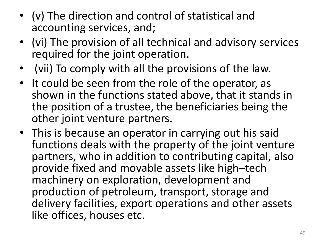- (v) The direction and control of statistical and accounting services, and;
- (vi) The provision of all technical and advisory services required for the joint operation.
- (vii) To comply with all the provisions of the law.
- It could be seen from the role of the operator, as shown in the functions stated above, that it stands in the position of a trustee, the beneficiaries being the other joint venture partners.
- This is because an operator in carrying out his said functions deals with the property of the joint venture partners, who in addition to contributing capital, also provide fixed and movable assets like high–tech machinery on exploration, development and production of petroleum, transport, storage and delivery facilities, export operations and other assets like offices, houses etc.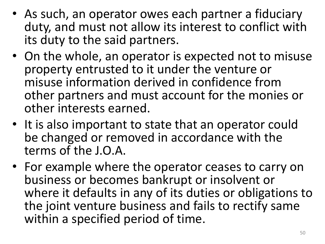- As such, an operator owes each partner a fiduciary duty, and must not allow its interest to conflict with its duty to the said partners.
- On the whole, an operator is expected not to misuse property entrusted to it under the venture or misuse information derived in confidence from other partners and must account for the monies or other interests earned.
- It is also important to state that an operator could be changed or removed in accordance with the terms of the J.O.A.
- For example where the operator ceases to carry on business or becomes bankrupt or insolvent or where it defaults in any of its duties or obligations to the joint venture business and fails to rectify same within a specified period of time.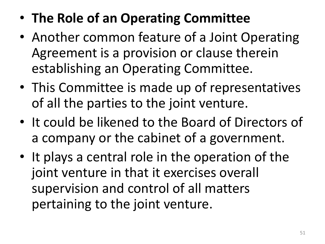- **The Role of an Operating Committee**
- Another common feature of a Joint Operating Agreement is a provision or clause therein establishing an Operating Committee.
- This Committee is made up of representatives of all the parties to the joint venture.
- It could be likened to the Board of Directors of a company or the cabinet of a government.
- It plays a central role in the operation of the joint venture in that it exercises overall supervision and control of all matters pertaining to the joint venture.